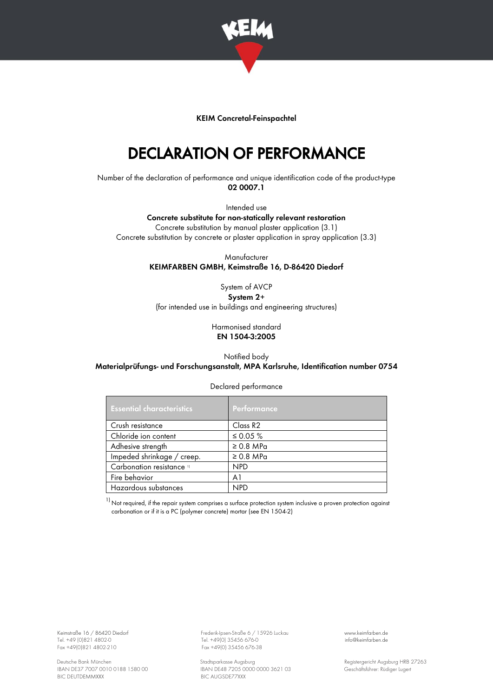

## KEIM Concretal-Feinspachtel

## DECLARATION OF PERFORMANCE

Number of the declaration of performance and unique identification code of the product-type 02 0007.1

Intended use

Concrete substitute for non-statically relevant restoration Concrete substitution by manual plaster application (3.1) Concrete substitution by concrete or plaster application in spray application (3.3)

> Manufacturer KEIMFARBEN GMBH, Keimstraße 16, D-86420 Diedorf

> > System of AVCP System 2+

(for intended use in buildings and engineering structures)

Harmonised standard EN 1504-3:2005

Notified body Materialprüfungs- und Forschungsanstalt, MPA Karlsruhe, Identification number 0754

| <b>Essential characteristics</b> | Performance          |
|----------------------------------|----------------------|
| Crush resistance                 | Class R <sub>2</sub> |
| Chloride ion content             | ≤ 0.05 $%$           |
| Adhesive strength                | $\geq$ 0.8 MPa       |
| Impeded shrinkage / creep.       | $\geq 0.8$ MPa       |
| Carbonation resistance 11        | <b>NPD</b>           |
| Fire behavior                    | A <sub>1</sub>       |
| Hazardous substances             | <b>NPD</b>           |

 $1)$  Not required, if the repair system comprises a surface protection system inclusive a proven protection against carbonation or if it is a PC (polymer concrete) mortar (see EN 1504-2)

Tel. +49 (0)821 4802-0 Tel. +49 (0)821 4802-0 Tel. +49 (0)821 4802-0 Tel. +49 (0) 35456 676-0 info@keimed.<br>Fox +49(0)821 4802-210 Fox +49(0) 35456 676-3

Keimstraße 16 / 86420 Diedorf Frederik-Ipsen-Straße 6 / 15926 Luckau [www.keimfarben.de](http://www.keimfarben.de/)  $Fax + 49(0)35456676-38$ 

Deutsche Bank München Stadtsparkasse Augsburg (1990) Stadtsparkasse Augsburg (1990) Registergericht Augsburg HRB 27263<br>RAN DE37 7007 0010 0188 1580 00 (1990) BAN DE48 7205 0000 0000 3621 03 (1991) Geschäftsführer: Rüdiger IBAN DE48 7205 0000 0000 3621 03<br>BIC AUGSDE77XXX GESCHÄFTSFÜRER 1580 GESChäftsführer: Rüdiger Lugert

Declared performance